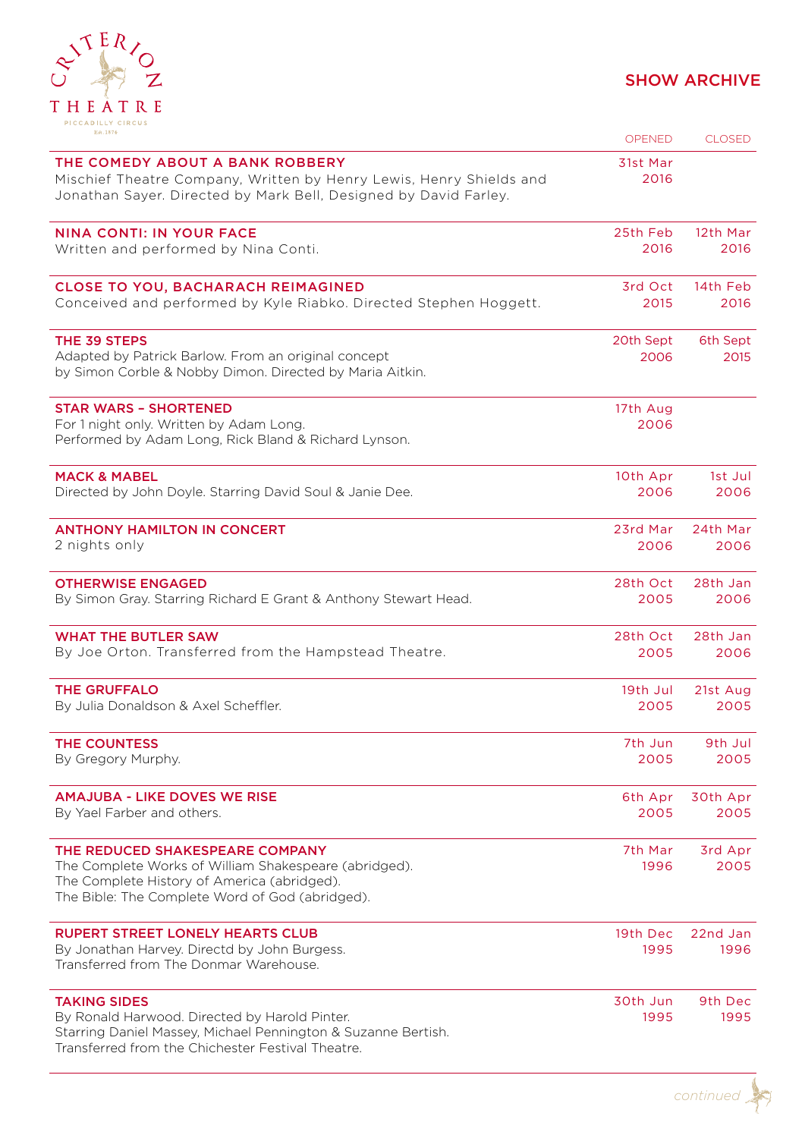

| Est.1874                                                                                                                                                                                   | <b>OPENED</b>     | <b>CLOSED</b>    |
|--------------------------------------------------------------------------------------------------------------------------------------------------------------------------------------------|-------------------|------------------|
| THE COMEDY ABOUT A BANK ROBBERY<br>Mischief Theatre Company, Written by Henry Lewis, Henry Shields and<br>Jonathan Sayer. Directed by Mark Bell, Designed by David Farley.                 | 31st Mar<br>2016  |                  |
| <b>NINA CONTI: IN YOUR FACE</b>                                                                                                                                                            | 25th Feb          | 12th Mar         |
| Written and performed by Nina Conti.                                                                                                                                                       | 2016              | 2016             |
| <b>CLOSE TO YOU, BACHARACH REIMAGINED</b>                                                                                                                                                  | 3rd Oct           | 14th Feb         |
| Conceived and performed by Kyle Riabko. Directed Stephen Hoggett.                                                                                                                          | 2015              | 2016             |
| THE 39 STEPS<br>Adapted by Patrick Barlow. From an original concept<br>by Simon Corble & Nobby Dimon. Directed by Maria Aitkin.                                                            | 20th Sept<br>2006 | 6th Sept<br>2015 |
| <b>STAR WARS - SHORTENED</b><br>For 1 night only. Written by Adam Long.<br>Performed by Adam Long, Rick Bland & Richard Lynson.                                                            | 17th Aug<br>2006  |                  |
| <b>MACK &amp; MABEL</b>                                                                                                                                                                    | 10th Apr          | 1st Jul          |
| Directed by John Doyle. Starring David Soul & Janie Dee.                                                                                                                                   | 2006              | 2006             |
| <b>ANTHONY HAMILTON IN CONCERT</b>                                                                                                                                                         | 23rd Mar          | 24th Mar         |
| 2 nights only                                                                                                                                                                              | 2006              | 2006             |
| <b>OTHERWISE ENGAGED</b>                                                                                                                                                                   | 28th Oct          | 28th Jan         |
| By Simon Gray. Starring Richard E Grant & Anthony Stewart Head.                                                                                                                            | 2005              | 2006             |
| <b>WHAT THE BUTLER SAW</b>                                                                                                                                                                 | 28th Oct          | 28th Jan         |
| By Joe Orton. Transferred from the Hampstead Theatre.                                                                                                                                      | 2005              | 2006             |
| <b>THE GRUFFALO</b>                                                                                                                                                                        | 19th Jul          | 21st Aug         |
| By Julia Donaldson & Axel Scheffler.                                                                                                                                                       | 2005              | 2005             |
| THE COUNTESS                                                                                                                                                                               | 7th Jun           | 9th Jul          |
| By Gregory Murphy.                                                                                                                                                                         | 2005              | 2005             |
| <b>AMAJUBA - LIKE DOVES WE RISE</b>                                                                                                                                                        | 6th Apr           | 30th Apr         |
| By Yael Farber and others.                                                                                                                                                                 | 2005              | 2005             |
| THE REDUCED SHAKESPEARE COMPANY<br>The Complete Works of William Shakespeare (abridged).<br>The Complete History of America (abridged).<br>The Bible: The Complete Word of God (abridged). | 7th Mar<br>1996   | 3rd Apr<br>2005  |
| <b>RUPERT STREET LONELY HEARTS CLUB</b><br>By Jonathan Harvey. Directd by John Burgess.<br>Transferred from The Donmar Warehouse.                                                          | 19th Dec<br>1995  | 22nd Jan<br>1996 |
| <b>TAKING SIDES</b><br>By Ronald Harwood. Directed by Harold Pinter.<br>Starring Daniel Massey, Michael Pennington & Suzanne Bertish.<br>Transferred from the Chichester Festival Theatre. | 30th Jun<br>1995  | 9th Dec<br>1995  |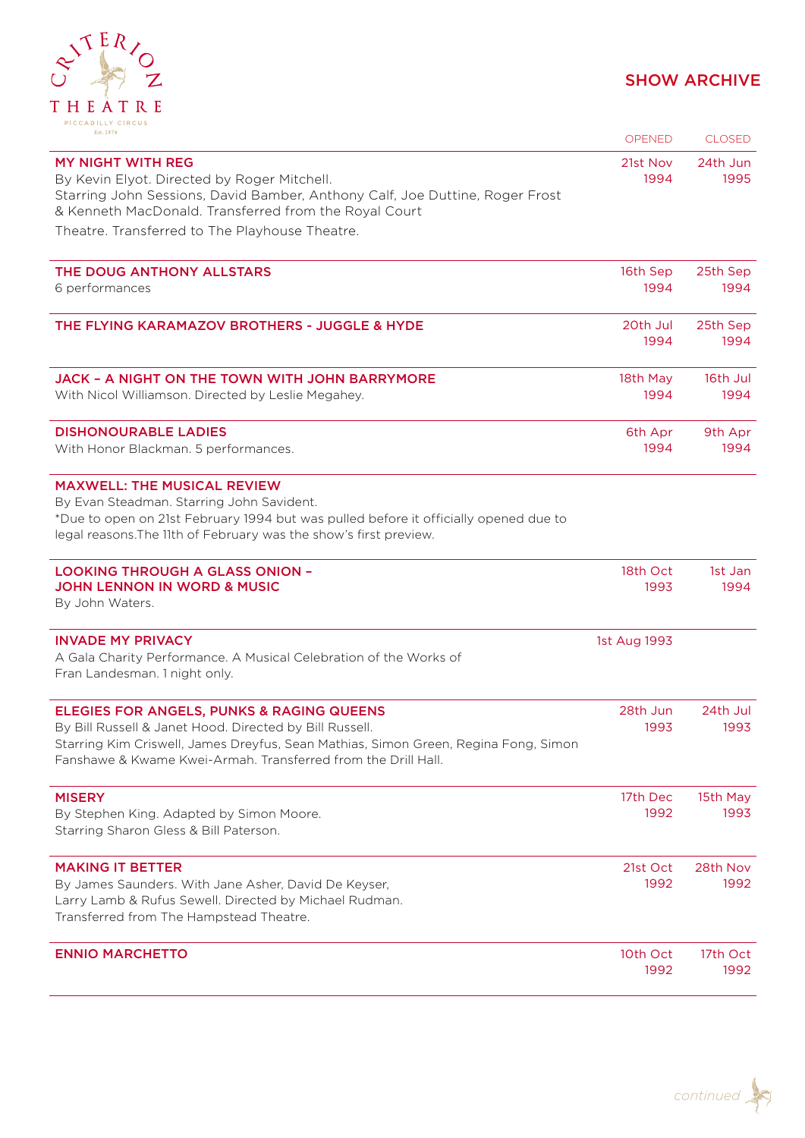

| Est. 1874                                                                                                                                                                                                                                                               | <b>OPENED</b>    | <b>CLOSED</b>    |
|-------------------------------------------------------------------------------------------------------------------------------------------------------------------------------------------------------------------------------------------------------------------------|------------------|------------------|
| <b>MY NIGHT WITH REG</b><br>By Kevin Elyot. Directed by Roger Mitchell.<br>Starring John Sessions, David Bamber, Anthony Calf, Joe Duttine, Roger Frost<br>& Kenneth MacDonald. Transferred from the Royal Court                                                        | 21st Nov<br>1994 | 24th Jun<br>1995 |
| Theatre. Transferred to The Playhouse Theatre.                                                                                                                                                                                                                          |                  |                  |
| THE DOUG ANTHONY ALLSTARS<br>6 performances                                                                                                                                                                                                                             | 16th Sep<br>1994 | 25th Sep<br>1994 |
| THE FLYING KARAMAZOV BROTHERS - JUGGLE & HYDE                                                                                                                                                                                                                           | 20th Jul<br>1994 | 25th Sep<br>1994 |
| <b>JACK - A NIGHT ON THE TOWN WITH JOHN BARRYMORE</b><br>With Nicol Williamson. Directed by Leslie Megahey.                                                                                                                                                             | 18th May<br>1994 | 16th Jul<br>1994 |
| <b>DISHONOURABLE LADIES</b><br>With Honor Blackman. 5 performances.                                                                                                                                                                                                     | 6th Apr<br>1994  | 9th Apr<br>1994  |
| <b>MAXWELL: THE MUSICAL REVIEW</b><br>By Evan Steadman. Starring John Savident.<br>*Due to open on 21st February 1994 but was pulled before it officially opened due to<br>legal reasons. The 11th of February was the show's first preview.                            |                  |                  |
| <b>LOOKING THROUGH A GLASS ONION -</b><br><b>JOHN LENNON IN WORD &amp; MUSIC</b><br>By John Waters.                                                                                                                                                                     | 18th Oct<br>1993 | 1st Jan<br>1994  |
| <b>INVADE MY PRIVACY</b><br>A Gala Charity Performance. A Musical Celebration of the Works of<br>Fran Landesman. 1 night only.                                                                                                                                          | 1st Aug 1993     |                  |
| <b>ELEGIES FOR ANGELS, PUNKS &amp; RAGING QUEENS</b><br>By Bill Russell & Janet Hood. Directed by Bill Russell.<br>Starring Kim Criswell, James Dreyfus, Sean Mathias, Simon Green, Regina Fong, Simon<br>Fanshawe & Kwame Kwei-Armah, Transferred from the Drill Hall. | 28th Jun<br>1993 | 24th Jul<br>1993 |
| <b>MISERY</b><br>By Stephen King. Adapted by Simon Moore.<br>Starring Sharon Gless & Bill Paterson.                                                                                                                                                                     | 17th Dec<br>1992 | 15th May<br>1993 |
| <b>MAKING IT BETTER</b><br>By James Saunders. With Jane Asher, David De Keyser,<br>Larry Lamb & Rufus Sewell. Directed by Michael Rudman.<br>Transferred from The Hampstead Theatre.                                                                                    | 21st Oct<br>1992 | 28th Nov<br>1992 |
| <b>ENNIO MARCHETTO</b>                                                                                                                                                                                                                                                  | 10th Oct<br>1992 | 17th Oct<br>1992 |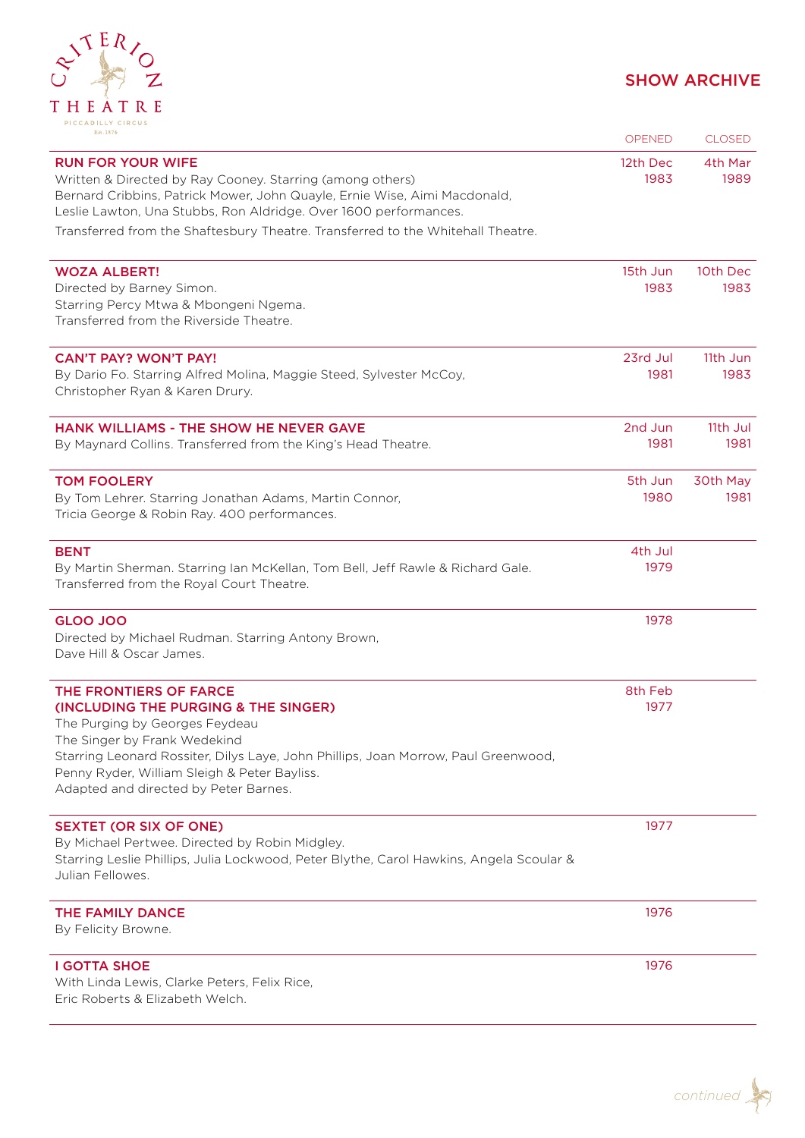

| Est. 1874                                                                                                                                                                                                                              | <b>OPENED</b>    | <b>CLOSED</b>   |
|----------------------------------------------------------------------------------------------------------------------------------------------------------------------------------------------------------------------------------------|------------------|-----------------|
| <b>RUN FOR YOUR WIFE</b><br>Written & Directed by Ray Cooney. Starring (among others)<br>Bernard Cribbins, Patrick Mower, John Quayle, Ernie Wise, Aimi Macdonald,<br>Leslie Lawton, Una Stubbs, Ron Aldridge. Over 1600 performances. | 12th Dec<br>1983 | 4th Mar<br>1989 |
| Transferred from the Shaftesbury Theatre. Transferred to the Whitehall Theatre.                                                                                                                                                        |                  |                 |
| <b>WOZA ALBERT!</b>                                                                                                                                                                                                                    | 15th Jun         | 10th Dec        |
| Directed by Barney Simon.<br>Starring Percy Mtwa & Mbongeni Ngema.<br>Transferred from the Riverside Theatre.                                                                                                                          | 1983             | 1983            |
| <b>CAN'T PAY? WON'T PAY!</b>                                                                                                                                                                                                           | 23rd Jul         | 11th Jun        |
| By Dario Fo. Starring Alfred Molina, Maggie Steed, Sylvester McCoy,<br>Christopher Ryan & Karen Drury.                                                                                                                                 | 1981             | 1983            |
| HANK WILLIAMS - THE SHOW HE NEVER GAVE                                                                                                                                                                                                 | 2nd Jun          | 11th Jul        |
| By Maynard Collins. Transferred from the King's Head Theatre.                                                                                                                                                                          | 1981             | 1981            |
| <b>TOM FOOLERY</b>                                                                                                                                                                                                                     | 5th Jun          | 30th May        |
| By Tom Lehrer. Starring Jonathan Adams, Martin Connor,<br>Tricia George & Robin Ray. 400 performances.                                                                                                                                 | 1980             | 1981            |
| <b>BENT</b>                                                                                                                                                                                                                            | 4th Jul          |                 |
| By Martin Sherman. Starring Ian McKellan, Tom Bell, Jeff Rawle & Richard Gale.<br>Transferred from the Royal Court Theatre.                                                                                                            | 1979             |                 |
| <b>GLOO JOO</b>                                                                                                                                                                                                                        | 1978             |                 |
| Directed by Michael Rudman. Starring Antony Brown,<br>Dave Hill & Oscar James.                                                                                                                                                         |                  |                 |
| THE FRONTIERS OF FARCE                                                                                                                                                                                                                 | 8th Feb          |                 |
| (INCLUDING THE PURGING & THE SINGER)<br>The Purging by Georges Feydeau                                                                                                                                                                 | 1977             |                 |
| The Singer by Frank Wedekind                                                                                                                                                                                                           |                  |                 |
| Starring Leonard Rossiter, Dilys Laye, John Phillips, Joan Morrow, Paul Greenwood,<br>Penny Ryder, William Sleigh & Peter Bayliss.                                                                                                     |                  |                 |
| Adapted and directed by Peter Barnes.                                                                                                                                                                                                  |                  |                 |
| <b>SEXTET (OR SIX OF ONE)</b>                                                                                                                                                                                                          | 1977             |                 |
| By Michael Pertwee. Directed by Robin Midgley.                                                                                                                                                                                         |                  |                 |
| Starring Leslie Phillips, Julia Lockwood, Peter Blythe, Carol Hawkins, Angela Scoular &<br>Julian Fellowes.                                                                                                                            |                  |                 |
| THE FAMILY DANCE                                                                                                                                                                                                                       | 1976             |                 |
| By Felicity Browne.                                                                                                                                                                                                                    |                  |                 |
| <b>I GOTTA SHOE</b>                                                                                                                                                                                                                    | 1976             |                 |
| With Linda Lewis, Clarke Peters, Felix Rice,<br>Eric Roberts & Elizabeth Welch.                                                                                                                                                        |                  |                 |
|                                                                                                                                                                                                                                        |                  |                 |

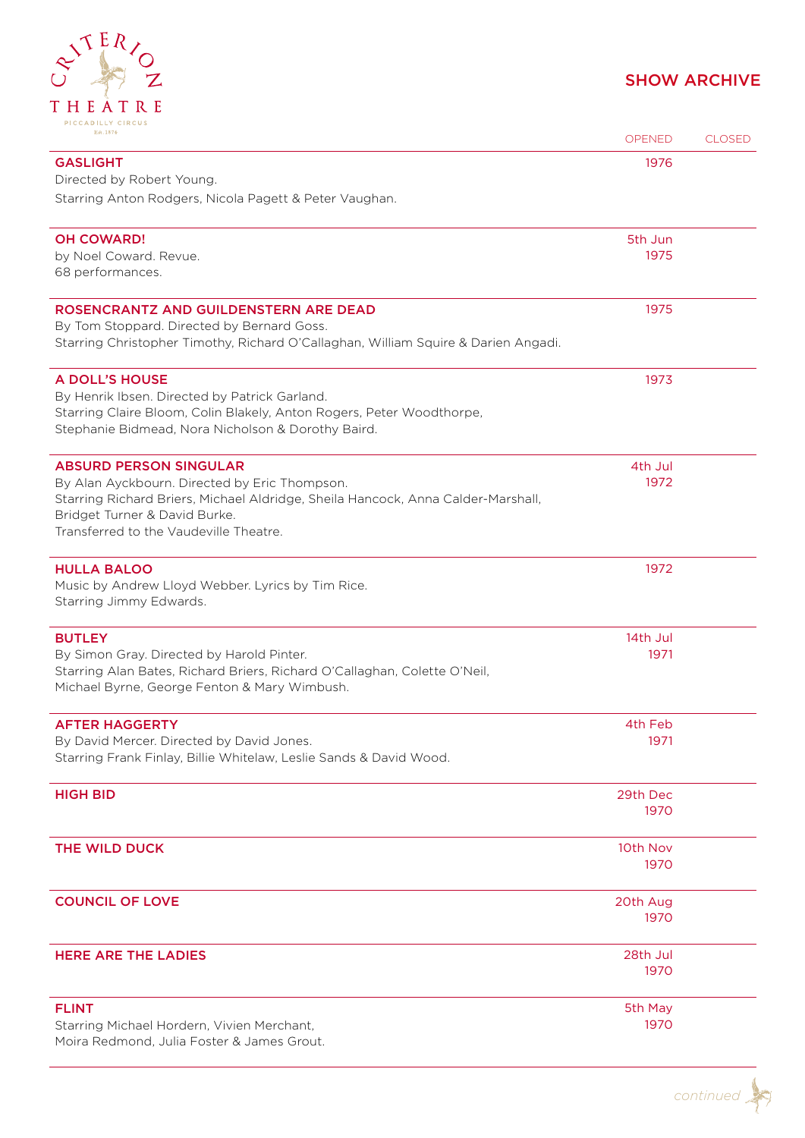

| Est.1874                                                                                                                                                                                                                                      | <b>OPENED</b>    | <b>CLOSED</b> |
|-----------------------------------------------------------------------------------------------------------------------------------------------------------------------------------------------------------------------------------------------|------------------|---------------|
| <b>GASLIGHT</b><br>Directed by Robert Young.                                                                                                                                                                                                  | 1976             |               |
| Starring Anton Rodgers, Nicola Pagett & Peter Vaughan.                                                                                                                                                                                        |                  |               |
| <b>OH COWARD!</b><br>by Noel Coward. Revue.<br>68 performances.                                                                                                                                                                               | 5th Jun<br>1975  |               |
| ROSENCRANTZ AND GUILDENSTERN ARE DEAD<br>By Tom Stoppard. Directed by Bernard Goss.<br>Starring Christopher Timothy, Richard O'Callaghan, William Squire & Darien Angadi.                                                                     | 1975             |               |
| <b>A DOLL'S HOUSE</b><br>By Henrik Ibsen. Directed by Patrick Garland.<br>Starring Claire Bloom, Colin Blakely, Anton Rogers, Peter Woodthorpe,<br>Stephanie Bidmead, Nora Nicholson & Dorothy Baird.                                         | 1973             |               |
| <b>ABSURD PERSON SINGULAR</b><br>By Alan Ayckbourn. Directed by Eric Thompson.<br>Starring Richard Briers, Michael Aldridge, Sheila Hancock, Anna Calder-Marshall,<br>Bridget Turner & David Burke.<br>Transferred to the Vaudeville Theatre. | 4th Jul<br>1972  |               |
| <b>HULLA BALOO</b><br>Music by Andrew Lloyd Webber. Lyrics by Tim Rice.<br>Starring Jimmy Edwards.                                                                                                                                            | 1972             |               |
| <b>BUTLEY</b><br>By Simon Gray. Directed by Harold Pinter.<br>Starring Alan Bates, Richard Briers, Richard O'Callaghan, Colette O'Neil,<br>Michael Byrne, George Fenton & Mary Wimbush.                                                       | 14th Jul<br>1971 |               |
| <b>AFTER HAGGERTY</b><br>By David Mercer. Directed by David Jones.<br>Starring Frank Finlay, Billie Whitelaw, Leslie Sands & David Wood.                                                                                                      | 4th Feb<br>1971  |               |
| <b>HIGH BID</b>                                                                                                                                                                                                                               | 29th Dec<br>1970 |               |
| THE WILD DUCK                                                                                                                                                                                                                                 | 10th Nov<br>1970 |               |
| <b>COUNCIL OF LOVE</b>                                                                                                                                                                                                                        | 20th Aug<br>1970 |               |
| <b>HERE ARE THE LADIES</b>                                                                                                                                                                                                                    | 28th Jul<br>1970 |               |
| <b>FLINT</b><br>Starring Michael Hordern, Vivien Merchant,<br>Moira Redmond, Julia Foster & James Grout.                                                                                                                                      | 5th May<br>1970  |               |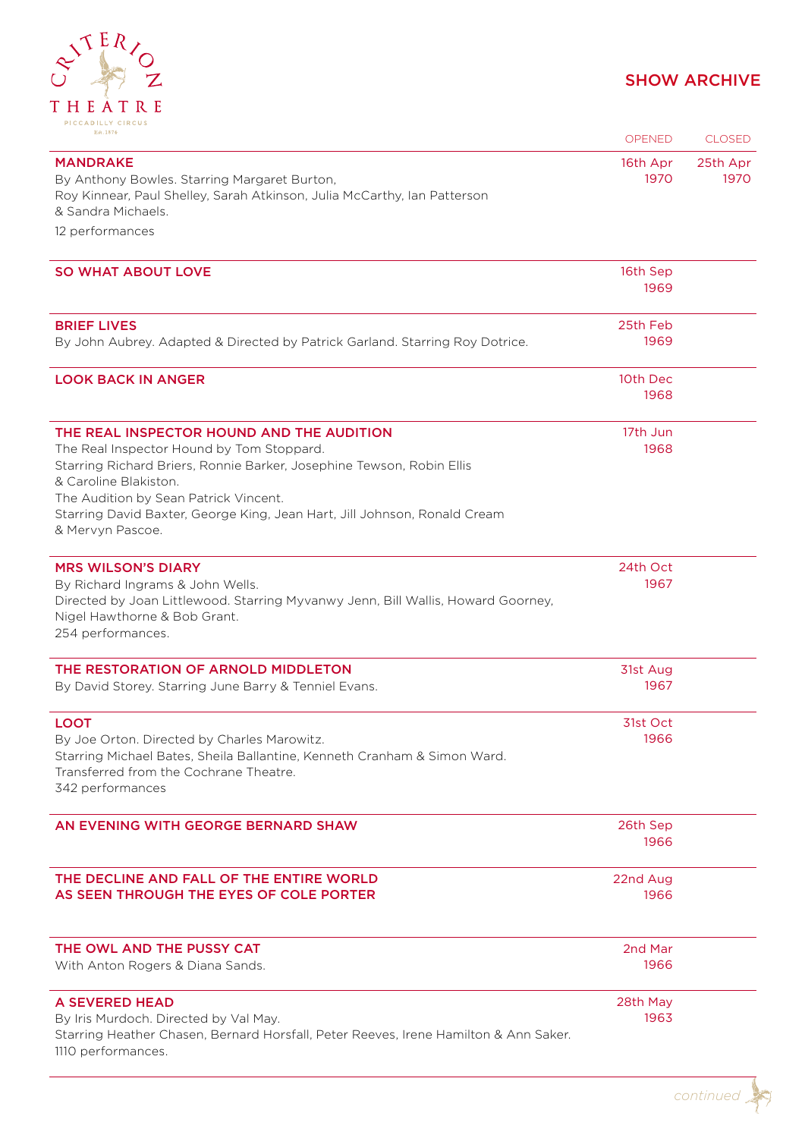

| Est. 1874                                                                                                                                                                                                                                                                                                                          | <b>OPENED</b>    | <b>CLOSED</b>    |
|------------------------------------------------------------------------------------------------------------------------------------------------------------------------------------------------------------------------------------------------------------------------------------------------------------------------------------|------------------|------------------|
| <b>MANDRAKE</b><br>By Anthony Bowles. Starring Margaret Burton,<br>Roy Kinnear, Paul Shelley, Sarah Atkinson, Julia McCarthy, Ian Patterson<br>& Sandra Michaels.<br>12 performances                                                                                                                                               | 16th Apr<br>1970 | 25th Apr<br>1970 |
| <b>SO WHAT ABOUT LOVE</b>                                                                                                                                                                                                                                                                                                          | 16th Sep<br>1969 |                  |
| <b>BRIEF LIVES</b><br>By John Aubrey. Adapted & Directed by Patrick Garland. Starring Roy Dotrice.                                                                                                                                                                                                                                 | 25th Feb<br>1969 |                  |
| <b>LOOK BACK IN ANGER</b>                                                                                                                                                                                                                                                                                                          | 10th Dec<br>1968 |                  |
| THE REAL INSPECTOR HOUND AND THE AUDITION<br>The Real Inspector Hound by Tom Stoppard.<br>Starring Richard Briers, Ronnie Barker, Josephine Tewson, Robin Ellis<br>& Caroline Blakiston.<br>The Audition by Sean Patrick Vincent.<br>Starring David Baxter, George King, Jean Hart, Jill Johnson, Ronald Cream<br>& Mervyn Pascoe. | 17th Jun<br>1968 |                  |
| <b>MRS WILSON'S DIARY</b><br>By Richard Ingrams & John Wells.<br>Directed by Joan Littlewood. Starring Myvanwy Jenn, Bill Wallis, Howard Goorney,<br>Nigel Hawthorne & Bob Grant.<br>254 performances.                                                                                                                             | 24th Oct<br>1967 |                  |
| THE RESTORATION OF ARNOLD MIDDLETON<br>By David Storey. Starring June Barry & Tenniel Evans.                                                                                                                                                                                                                                       | 31st Aug<br>1967 |                  |
| <b>LOOT</b><br>By Joe Orton. Directed by Charles Marowitz.<br>Starring Michael Bates, Sheila Ballantine, Kenneth Cranham & Simon Ward.<br>Transferred from the Cochrane Theatre.<br>342 performances                                                                                                                               | 31st Oct<br>1966 |                  |
| AN EVENING WITH GEORGE BERNARD SHAW                                                                                                                                                                                                                                                                                                | 26th Sep<br>1966 |                  |
| THE DECLINE AND FALL OF THE ENTIRE WORLD<br>AS SEEN THROUGH THE EYES OF COLE PORTER                                                                                                                                                                                                                                                | 22nd Aug<br>1966 |                  |
| THE OWL AND THE PUSSY CAT<br>With Anton Rogers & Diana Sands.                                                                                                                                                                                                                                                                      | 2nd Mar<br>1966  |                  |
| <b>A SEVERED HEAD</b><br>By Iris Murdoch. Directed by Val May.<br>Starring Heather Chasen, Bernard Horsfall, Peter Reeves, Irene Hamilton & Ann Saker.<br>1110 performances.                                                                                                                                                       | 28th May<br>1963 |                  |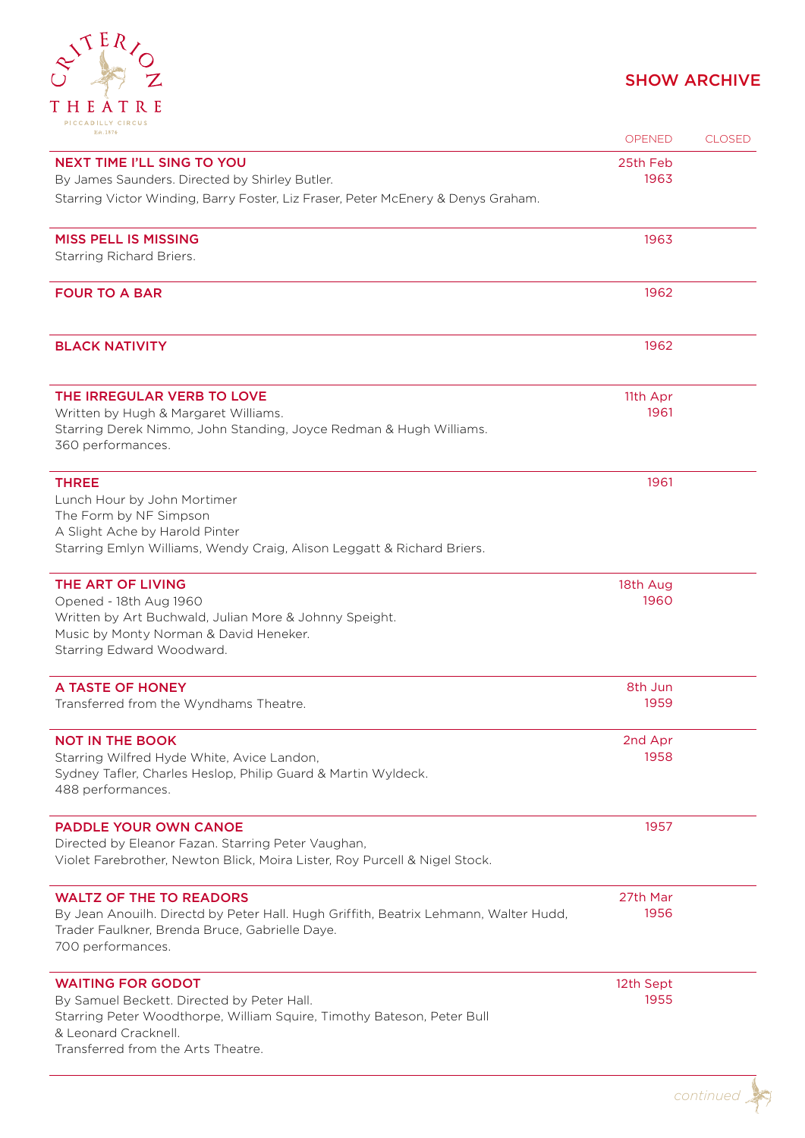

| Est. 1874                                                                                      | <b>OPENED</b> | <b>CLOSED</b> |
|------------------------------------------------------------------------------------------------|---------------|---------------|
| <b>NEXT TIME I'LL SING TO YOU</b>                                                              | 25th Feb      |               |
| By James Saunders. Directed by Shirley Butler.                                                 | 1963          |               |
| Starring Victor Winding, Barry Foster, Liz Fraser, Peter McEnery & Denys Graham.               |               |               |
| <b>MISS PELL IS MISSING</b>                                                                    | 1963          |               |
| Starring Richard Briers.                                                                       |               |               |
|                                                                                                |               |               |
| <b>FOUR TO A BAR</b>                                                                           | 1962          |               |
| <b>BLACK NATIVITY</b>                                                                          | 1962          |               |
| THE IRREGULAR VERB TO LOVE                                                                     | 11th Apr      |               |
| Written by Hugh & Margaret Williams.                                                           | 1961          |               |
| Starring Derek Nimmo, John Standing, Joyce Redman & Hugh Williams.<br>360 performances.        |               |               |
| <b>THREE</b>                                                                                   | 1961          |               |
| Lunch Hour by John Mortimer                                                                    |               |               |
| The Form by NF Simpson<br>A Slight Ache by Harold Pinter                                       |               |               |
| Starring Emlyn Williams, Wendy Craig, Alison Leggatt & Richard Briers.                         |               |               |
| THE ART OF LIVING                                                                              | 18th Aug      |               |
| Opened - 18th Aug 1960                                                                         | 1960          |               |
| Written by Art Buchwald, Julian More & Johnny Speight.                                         |               |               |
| Music by Monty Norman & David Heneker.<br>Starring Edward Woodward.                            |               |               |
|                                                                                                |               |               |
| A TASTE OF HONEY                                                                               | 8th Jun       |               |
| Transferred from the Wyndhams Theatre.                                                         | 1959          |               |
| <b>NOT IN THE BOOK</b>                                                                         | 2nd Apr       |               |
| Starring Wilfred Hyde White, Avice Landon,                                                     | 1958          |               |
| Sydney Tafler, Charles Heslop, Philip Guard & Martin Wyldeck.<br>488 performances.             |               |               |
| <b>PADDLE YOUR OWN CANOE</b>                                                                   | 1957          |               |
| Directed by Eleanor Fazan. Starring Peter Vaughan,                                             |               |               |
| Violet Farebrother, Newton Blick, Moira Lister, Roy Purcell & Nigel Stock.                     |               |               |
| <b>WALTZ OF THE TO READORS</b>                                                                 | 27th Mar      |               |
| By Jean Anouilh. Directd by Peter Hall. Hugh Griffith, Beatrix Lehmann, Walter Hudd,           | 1956          |               |
| Trader Faulkner, Brenda Bruce, Gabrielle Daye.<br>700 performances.                            |               |               |
| <b>WAITING FOR GODOT</b>                                                                       | 12th Sept     |               |
| By Samuel Beckett. Directed by Peter Hall.                                                     | 1955          |               |
| Starring Peter Woodthorpe, William Squire, Timothy Bateson, Peter Bull<br>& Leonard Cracknell. |               |               |
| Transferred from the Arts Theatre.                                                             |               |               |
|                                                                                                |               |               |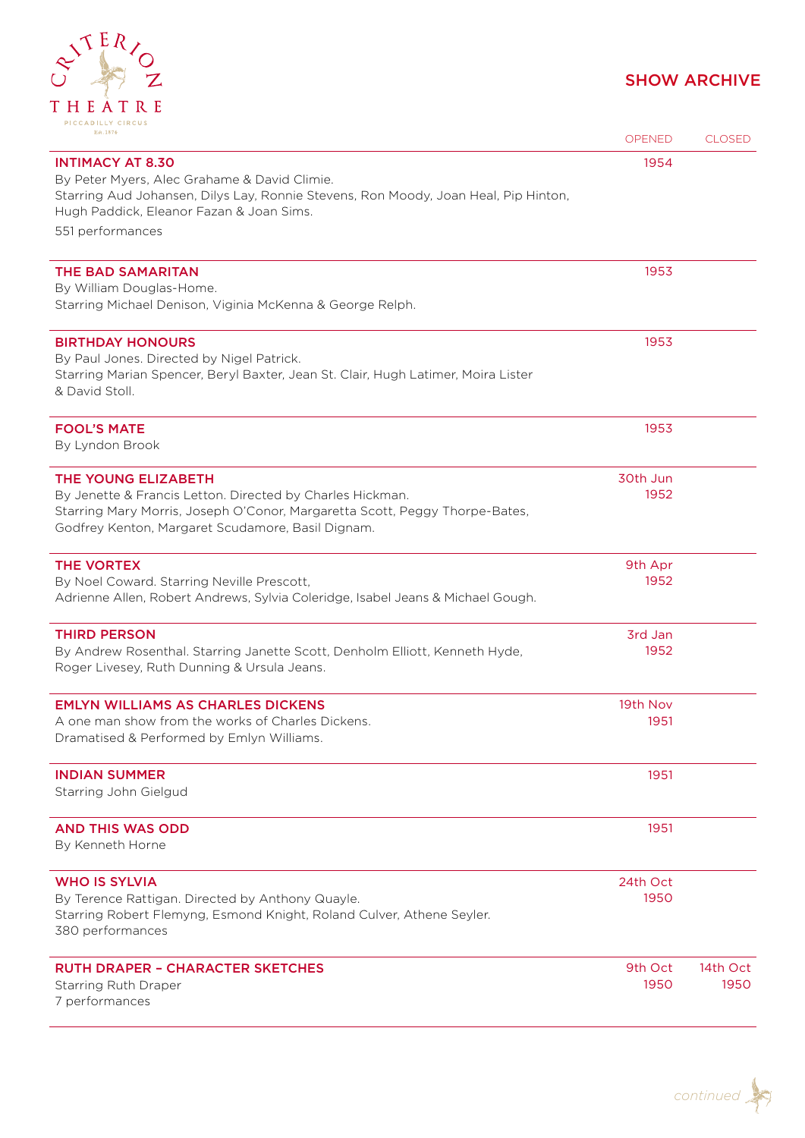# RITERIOZ THEATRE

| FICCAPILLI CIRCOS<br>Est. 1874                                                                                                                | <b>OPENED</b>    | <b>CLOSED</b> |
|-----------------------------------------------------------------------------------------------------------------------------------------------|------------------|---------------|
| <b>INTIMACY AT 8.30</b><br>By Peter Myers, Alec Grahame & David Climie.                                                                       | 1954             |               |
| Starring Aud Johansen, Dilys Lay, Ronnie Stevens, Ron Moody, Joan Heal, Pip Hinton,<br>Hugh Paddick, Eleanor Fazan & Joan Sims.               |                  |               |
| 551 performances                                                                                                                              |                  |               |
| <b>THE BAD SAMARITAN</b><br>By William Douglas-Home.                                                                                          | 1953             |               |
| Starring Michael Denison, Viginia McKenna & George Relph.                                                                                     |                  |               |
| <b>BIRTHDAY HONOURS</b><br>By Paul Jones. Directed by Nigel Patrick.                                                                          | 1953             |               |
| Starring Marian Spencer, Beryl Baxter, Jean St. Clair, Hugh Latimer, Moira Lister<br>& David Stoll.                                           |                  |               |
| <b>FOOL'S MATE</b><br>By Lyndon Brook                                                                                                         | 1953             |               |
| <b>THE YOUNG ELIZABETH</b><br>By Jenette & Francis Letton. Directed by Charles Hickman.                                                       | 30th Jun<br>1952 |               |
| Starring Mary Morris, Joseph O'Conor, Margaretta Scott, Peggy Thorpe-Bates,<br>Godfrey Kenton, Margaret Scudamore, Basil Dignam.              |                  |               |
| <b>THE VORTEX</b>                                                                                                                             | 9th Apr<br>1952  |               |
| By Noel Coward. Starring Neville Prescott,<br>Adrienne Allen, Robert Andrews, Sylvia Coleridge, Isabel Jeans & Michael Gough.                 |                  |               |
| <b>THIRD PERSON</b><br>By Andrew Rosenthal. Starring Janette Scott, Denholm Elliott, Kenneth Hyde,                                            | 3rd Jan<br>1952  |               |
| Roger Livesey, Ruth Dunning & Ursula Jeans.                                                                                                   |                  |               |
| <b>EMLYN WILLIAMS AS CHARLES DICKENS</b>                                                                                                      | 19th Nov<br>1951 |               |
| A one man show from the works of Charles Dickens.<br>Dramatised & Performed by Emlyn Williams.                                                |                  |               |
| <b>INDIAN SUMMER</b><br>Starring John Gielgud                                                                                                 | 1951             |               |
| <b>AND THIS WAS ODD</b><br>By Kenneth Horne                                                                                                   | 1951             |               |
| <b>WHO IS SYLVIA</b>                                                                                                                          | 24th Oct         |               |
| By Terence Rattigan. Directed by Anthony Quayle.<br>Starring Robert Flemyng, Esmond Knight, Roland Culver, Athene Seyler.<br>380 performances | 1950             |               |
| <b>RUTH DRAPER - CHARACTER SKETCHES</b>                                                                                                       | 9th Oct          | 14th Oct      |
| Starring Ruth Draper<br>7 performances                                                                                                        | 1950             | 1950          |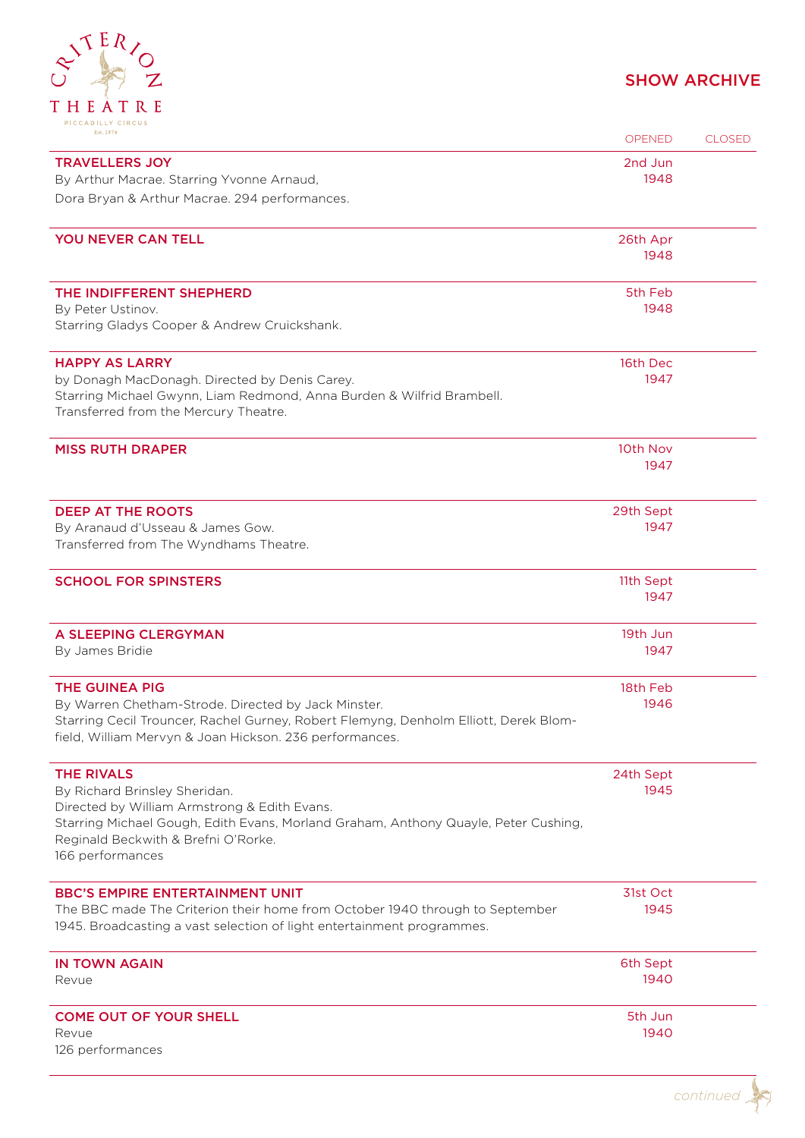

| $-1$ c c $-$ c $-$ c $-$ c $-$ c $-$ c $-$ c $-$ c $-$<br>Est. 1874                                                                                    | <b>OPENED</b> | <b>CLOSED</b> |
|--------------------------------------------------------------------------------------------------------------------------------------------------------|---------------|---------------|
| <b>TRAVELLERS JOY</b>                                                                                                                                  | 2nd Jun       |               |
| By Arthur Macrae. Starring Yvonne Arnaud,                                                                                                              | 1948          |               |
| Dora Bryan & Arthur Macrae. 294 performances.                                                                                                          |               |               |
| YOU NEVER CAN TELL                                                                                                                                     | 26th Apr      |               |
|                                                                                                                                                        | 1948          |               |
| THE INDIFFERENT SHEPHERD                                                                                                                               | 5th Feb       |               |
| By Peter Ustinov.                                                                                                                                      | 1948          |               |
| Starring Gladys Cooper & Andrew Cruickshank.                                                                                                           |               |               |
| <b>HAPPY AS LARRY</b>                                                                                                                                  | 16th Dec      |               |
| by Donagh MacDonagh. Directed by Denis Carey.                                                                                                          | 1947          |               |
| Starring Michael Gwynn, Liam Redmond, Anna Burden & Wilfrid Brambell.<br>Transferred from the Mercury Theatre.                                         |               |               |
| <b>MISS RUTH DRAPER</b>                                                                                                                                | 10th Nov      |               |
|                                                                                                                                                        | 1947          |               |
| <b>DEEP AT THE ROOTS</b>                                                                                                                               | 29th Sept     |               |
| By Aranaud d'Usseau & James Gow.                                                                                                                       | 1947          |               |
| Transferred from The Wyndhams Theatre.                                                                                                                 |               |               |
| <b>SCHOOL FOR SPINSTERS</b>                                                                                                                            | 11th Sept     |               |
|                                                                                                                                                        | 1947          |               |
| A SLEEPING CLERGYMAN                                                                                                                                   | 19th Jun      |               |
| By James Bridie                                                                                                                                        | 1947          |               |
| <b>THE GUINEA PIG</b>                                                                                                                                  | 18th Feb      |               |
| By Warren Chetham-Strode. Directed by Jack Minster.                                                                                                    | 1946          |               |
| Starring Cecil Trouncer, Rachel Gurney, Robert Flemyng, Denholm Elliott, Derek Blom-<br>field, William Mervyn & Joan Hickson. 236 performances.        |               |               |
| <b>THE RIVALS</b>                                                                                                                                      | 24th Sept     |               |
| By Richard Brinsley Sheridan.                                                                                                                          | 1945          |               |
| Directed by William Armstrong & Edith Evans.                                                                                                           |               |               |
| Starring Michael Gough, Edith Evans, Morland Graham, Anthony Quayle, Peter Cushing,<br>Reginald Beckwith & Brefni O'Rorke.                             |               |               |
| 166 performances                                                                                                                                       |               |               |
| <b>BBC'S EMPIRE ENTERTAINMENT UNIT</b>                                                                                                                 | 31st Oct      |               |
| The BBC made The Criterion their home from October 1940 through to September<br>1945. Broadcasting a vast selection of light entertainment programmes. | 1945          |               |
| <b>IN TOWN AGAIN</b>                                                                                                                                   | 6th Sept      |               |
| Revue                                                                                                                                                  | 1940          |               |
| <b>COME OUT OF YOUR SHELL</b>                                                                                                                          | 5th Jun       |               |
| Revue                                                                                                                                                  | 1940          |               |
| 126 performances                                                                                                                                       |               |               |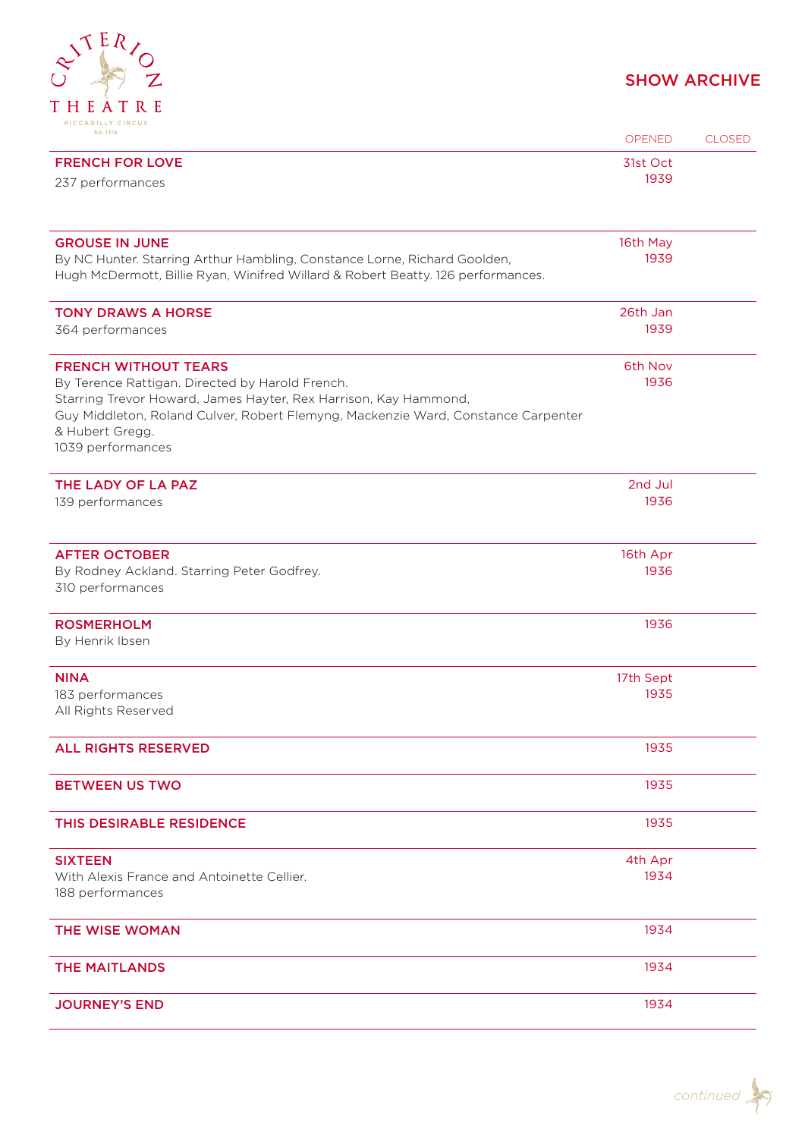

| Est. 1874                                                                         | OPENED    | <b>CLOSED</b> |
|-----------------------------------------------------------------------------------|-----------|---------------|
| <b>FRENCH FOR LOVE</b>                                                            | 31st Oct  |               |
| 237 performances                                                                  | 1939      |               |
|                                                                                   |           |               |
| <b>GROUSE IN JUNE</b>                                                             | 16th May  |               |
| By NC Hunter. Starring Arthur Hambling, Constance Lorne, Richard Goolden,         | 1939      |               |
| Hugh McDermott, Billie Ryan, Winifred Willard & Robert Beatty. 126 performances.  |           |               |
| <b>TONY DRAWS A HORSE</b>                                                         | 26th Jan  |               |
| 364 performances                                                                  | 1939      |               |
| <b>FRENCH WITHOUT TEARS</b>                                                       | 6th Nov   |               |
| By Terence Rattigan. Directed by Harold French.                                   | 1936      |               |
| Starring Trevor Howard, James Hayter, Rex Harrison, Kay Hammond,                  |           |               |
| Guy Middleton, Roland Culver, Robert Flemyng, Mackenzie Ward, Constance Carpenter |           |               |
| & Hubert Gregg.<br>1039 performances                                              |           |               |
|                                                                                   |           |               |
| THE LADY OF LA PAZ                                                                | 2nd Jul   |               |
| 139 performances                                                                  | 1936      |               |
|                                                                                   |           |               |
| <b>AFTER OCTOBER</b>                                                              | 16th Apr  |               |
| By Rodney Ackland. Starring Peter Godfrey.                                        | 1936      |               |
| 310 performances                                                                  |           |               |
| <b>ROSMERHOLM</b>                                                                 | 1936      |               |
| By Henrik Ibsen                                                                   |           |               |
| <b>NINA</b>                                                                       | 17th Sept |               |
| 183 performances                                                                  | 1935      |               |
| All Rights Reserved                                                               |           |               |
| <b>ALL RIGHTS RESERVED</b>                                                        | 1935      |               |
| <b>BETWEEN US TWO</b>                                                             | 1935      |               |
|                                                                                   | 1935      |               |
| THIS DESIRABLE RESIDENCE                                                          |           |               |
| <b>SIXTEEN</b>                                                                    | 4th Apr   |               |
| With Alexis France and Antoinette Cellier.                                        | 1934      |               |
| 188 performances                                                                  |           |               |
| <b>THE WISE WOMAN</b>                                                             | 1934      |               |
| <b>THE MAITLANDS</b>                                                              | 1934      |               |
|                                                                                   |           |               |
| <b>JOURNEY'S END</b>                                                              | 1934      |               |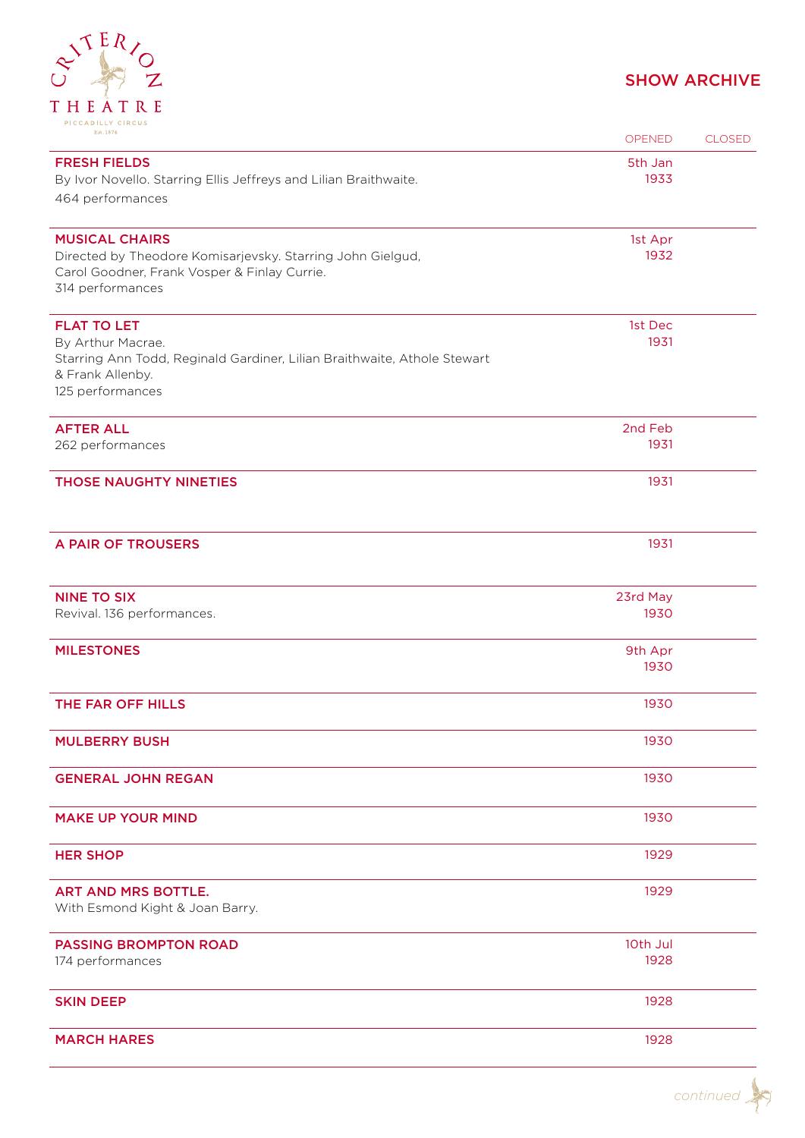

| Est. 1874                                                                                                                                                   | OPENED           | <b>CLOSED</b> |
|-------------------------------------------------------------------------------------------------------------------------------------------------------------|------------------|---------------|
| <b>FRESH FIELDS</b><br>By Ivor Novello. Starring Ellis Jeffreys and Lilian Braithwaite.<br>464 performances                                                 | 5th Jan<br>1933  |               |
| <b>MUSICAL CHAIRS</b><br>Directed by Theodore Komisarjevsky. Starring John Gielgud,<br>Carol Goodner, Frank Vosper & Finlay Currie.<br>314 performances     | 1st Apr<br>1932  |               |
| <b>FLAT TO LET</b><br>By Arthur Macrae.<br>Starring Ann Todd, Reginald Gardiner, Lilian Braithwaite, Athole Stewart<br>& Frank Allenby.<br>125 performances | 1st Dec<br>1931  |               |
| <b>AFTER ALL</b><br>262 performances                                                                                                                        | 2nd Feb<br>1931  |               |
| <b>THOSE NAUGHTY NINETIES</b>                                                                                                                               | 1931             |               |
| A PAIR OF TROUSERS                                                                                                                                          | 1931             |               |
| <b>NINE TO SIX</b><br>Revival. 136 performances.                                                                                                            | 23rd May<br>1930 |               |
| <b>MILESTONES</b>                                                                                                                                           | 9th Apr<br>1930  |               |
| THE FAR OFF HILLS                                                                                                                                           | 1930             |               |
| <b>MULBERRY BUSH</b>                                                                                                                                        | 1930             |               |
| <b>GENERAL JOHN REGAN</b>                                                                                                                                   | 1930             |               |
| <b>MAKE UP YOUR MIND</b>                                                                                                                                    | 1930             |               |
| <b>HER SHOP</b>                                                                                                                                             | 1929             |               |
| <b>ART AND MRS BOTTLE.</b><br>With Esmond Kight & Joan Barry.                                                                                               | 1929             |               |
| <b>PASSING BROMPTON ROAD</b><br>174 performances                                                                                                            | 10th Jul<br>1928 |               |
| <b>SKIN DEEP</b>                                                                                                                                            | 1928             |               |
| <b>MARCH HARES</b>                                                                                                                                          | 1928             |               |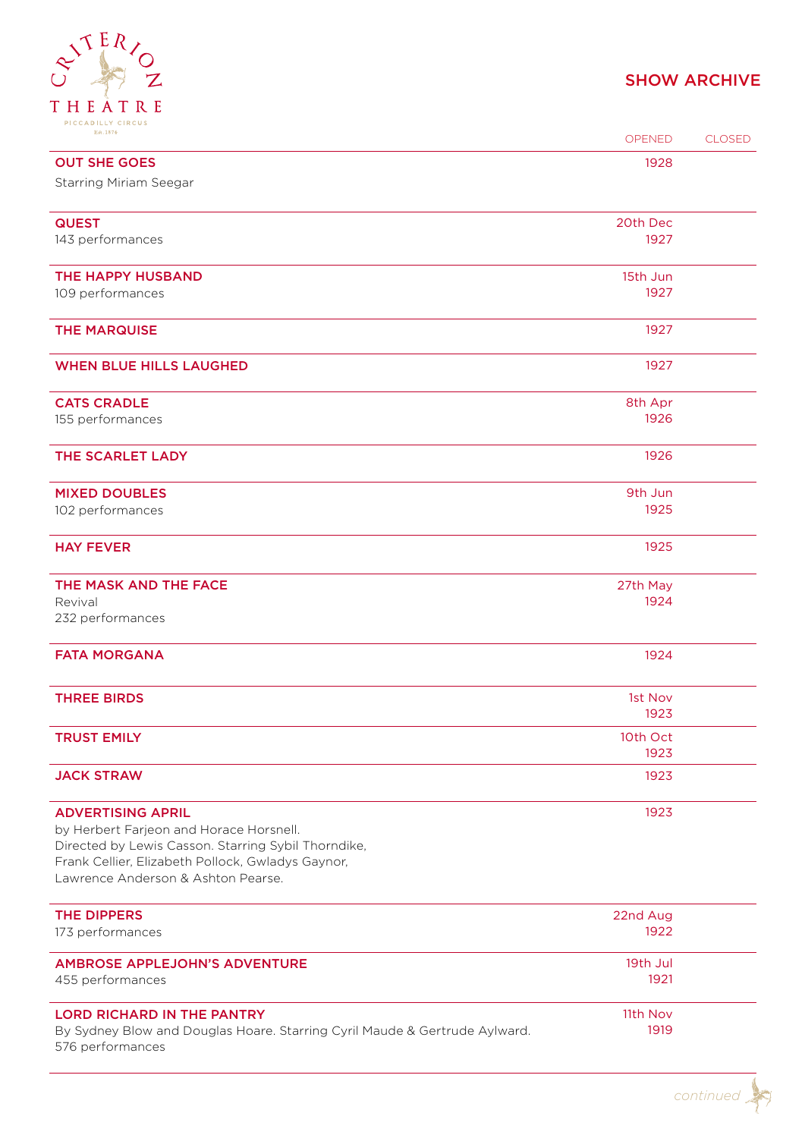### $\begin{matrix} \mathcal{S}^{\mathcal{S}} & R/2 \end{matrix}$ THEATRE PICCADILLY CIRCUS

| Est. 1874                                                                                                | OPENED           | <b>CLOSED</b> |
|----------------------------------------------------------------------------------------------------------|------------------|---------------|
| <b>OUT SHE GOES</b>                                                                                      | 1928             |               |
| <b>Starring Miriam Seegar</b>                                                                            |                  |               |
| <b>QUEST</b>                                                                                             | 20th Dec         |               |
| 143 performances                                                                                         | 1927             |               |
|                                                                                                          |                  |               |
| THE HAPPY HUSBAND                                                                                        | 15th Jun<br>1927 |               |
| 109 performances                                                                                         |                  |               |
| <b>THE MARQUISE</b>                                                                                      | 1927             |               |
| <b>WHEN BLUE HILLS LAUGHED</b>                                                                           | 1927             |               |
| <b>CATS CRADLE</b>                                                                                       | 8th Apr          |               |
| 155 performances                                                                                         | 1926             |               |
| THE SCARLET LADY                                                                                         | 1926             |               |
|                                                                                                          |                  |               |
| <b>MIXED DOUBLES</b>                                                                                     | 9th Jun          |               |
| 102 performances                                                                                         | 1925             |               |
| <b>HAY FEVER</b>                                                                                         | 1925             |               |
| THE MASK AND THE FACE                                                                                    | 27th May         |               |
| Revival                                                                                                  | 1924             |               |
| 232 performances                                                                                         |                  |               |
| <b>FATA MORGANA</b>                                                                                      | 1924             |               |
| <b>THREE BIRDS</b>                                                                                       | 1st Nov          |               |
|                                                                                                          | 1923             |               |
| <b>TRUST EMILY</b>                                                                                       | 10th Oct         |               |
| <b>JACK STRAW</b>                                                                                        | 1923<br>1923     |               |
|                                                                                                          |                  |               |
| <b>ADVERTISING APRIL</b>                                                                                 | 1923             |               |
| by Herbert Farjeon and Horace Horsnell.                                                                  |                  |               |
| Directed by Lewis Casson. Starring Sybil Thorndike,<br>Frank Cellier, Elizabeth Pollock, Gwladys Gaynor, |                  |               |
| Lawrence Anderson & Ashton Pearse.                                                                       |                  |               |
|                                                                                                          |                  |               |
| <b>THE DIPPERS</b>                                                                                       | 22nd Aug         |               |
| 173 performances                                                                                         | 1922             |               |
| <b>AMBROSE APPLEJOHN'S ADVENTURE</b>                                                                     | 19th Jul         |               |
| 455 performances                                                                                         | 1921             |               |
| <b>LORD RICHARD IN THE PANTRY</b>                                                                        | 11th Nov         |               |
| By Sydney Blow and Douglas Hoare. Starring Cyril Maude & Gertrude Aylward.                               | 1919             |               |
| 576 performances                                                                                         |                  |               |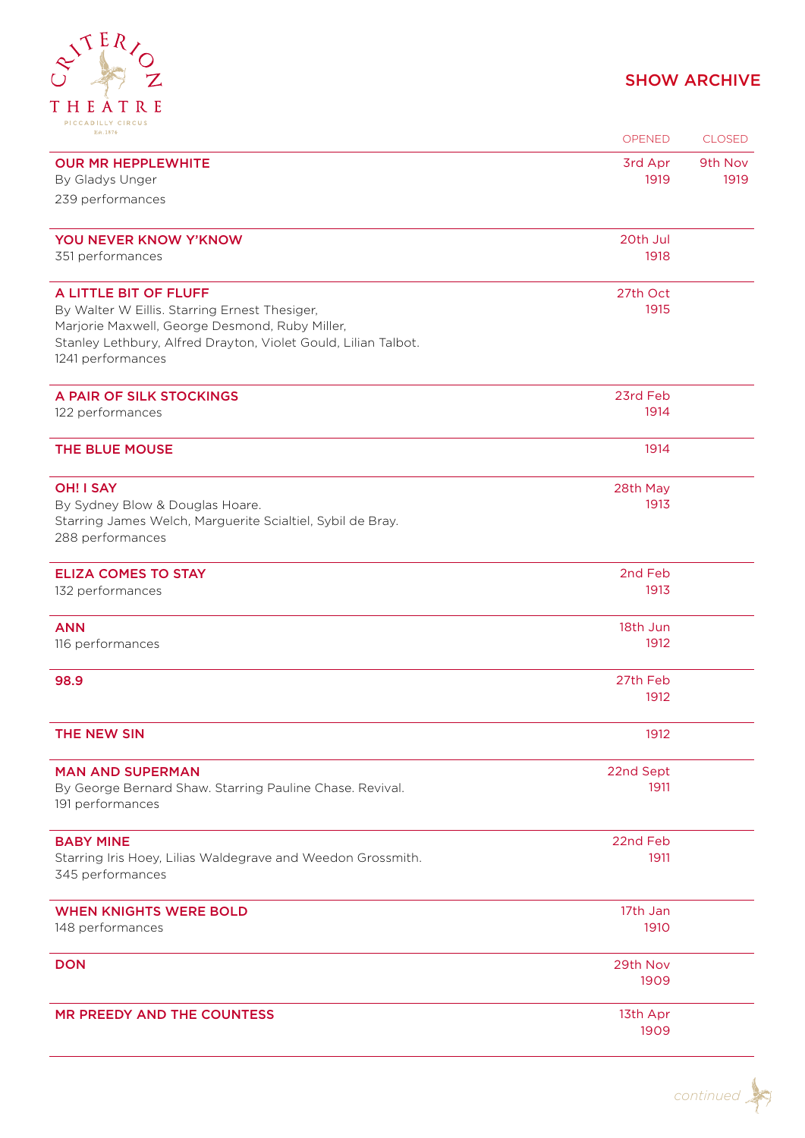## TERIOZ THEATRE PICCADILLY CIRCUS

| Est. 1874                                                                                                        | <b>OPENED</b>    | <b>CLOSED</b> |
|------------------------------------------------------------------------------------------------------------------|------------------|---------------|
| <b>OUR MR HEPPLEWHITE</b>                                                                                        | 3rd Apr          | 9th Nov       |
| By Gladys Unger                                                                                                  | 1919             | 1919          |
| 239 performances                                                                                                 |                  |               |
| YOU NEVER KNOW Y'KNOW                                                                                            | 20th Jul         |               |
| 351 performances                                                                                                 | 1918             |               |
| A LITTLE BIT OF FLUFF                                                                                            | 27th Oct         |               |
| By Walter W Eillis. Starring Ernest Thesiger,                                                                    | 1915             |               |
| Marjorie Maxwell, George Desmond, Ruby Miller,<br>Stanley Lethbury, Alfred Drayton, Violet Gould, Lilian Talbot. |                  |               |
| 1241 performances                                                                                                |                  |               |
| A PAIR OF SILK STOCKINGS                                                                                         | 23rd Feb         |               |
| 122 performances                                                                                                 | 1914             |               |
| THE BLUE MOUSE                                                                                                   | 1914             |               |
| <b>OH! I SAY</b>                                                                                                 | 28th May         |               |
| By Sydney Blow & Douglas Hoare.                                                                                  | 1913             |               |
| Starring James Welch, Marguerite Scialtiel, Sybil de Bray.                                                       |                  |               |
| 288 performances                                                                                                 |                  |               |
| <b>ELIZA COMES TO STAY</b>                                                                                       | 2nd Feb          |               |
| 132 performances                                                                                                 | 1913             |               |
| <b>ANN</b>                                                                                                       | 18th Jun         |               |
| 116 performances                                                                                                 | 1912             |               |
| 98.9                                                                                                             | 27th Feb         |               |
|                                                                                                                  | 1912             |               |
| THE NEW SIN                                                                                                      | 1912             |               |
| <b>MAN AND SUPERMAN</b>                                                                                          | 22nd Sept        |               |
| By George Bernard Shaw. Starring Pauline Chase. Revival.<br>191 performances                                     | 1911             |               |
| <b>BABY MINE</b>                                                                                                 | 22nd Feb         |               |
| Starring Iris Hoey, Lilias Waldegrave and Weedon Grossmith.                                                      | 1911             |               |
| 345 performances                                                                                                 |                  |               |
| <b>WHEN KNIGHTS WERE BOLD</b>                                                                                    | 17th Jan         |               |
| 148 performances                                                                                                 | 1910             |               |
| <b>DON</b>                                                                                                       | 29th Nov         |               |
|                                                                                                                  | 1909             |               |
| <b>MR PREEDY AND THE COUNTESS</b>                                                                                | 13th Apr<br>1909 |               |
|                                                                                                                  |                  |               |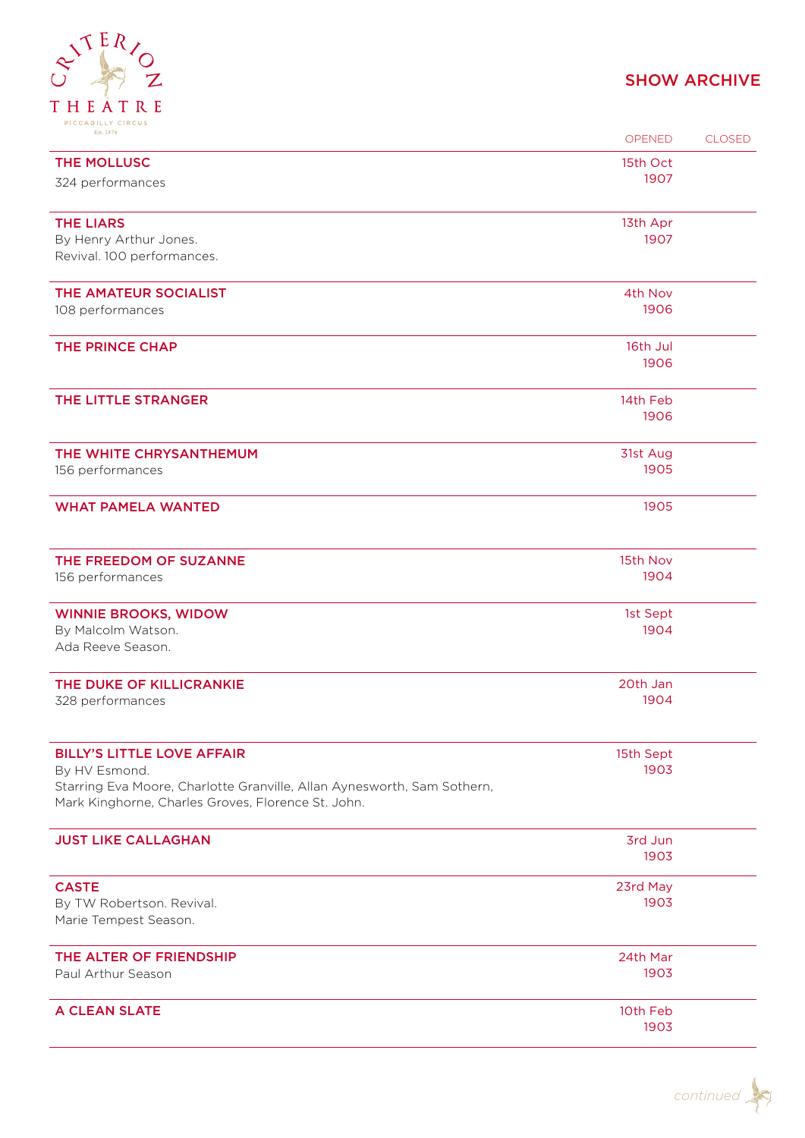## $e^{i\tau E R}/e^{Z}$ THEATRE

| Est. 1874                                                                                                                     | <b>OPENED</b>   | <b>CLOSED</b> |
|-------------------------------------------------------------------------------------------------------------------------------|-----------------|---------------|
| THE MOLLUSC                                                                                                                   | 15th Oct        |               |
| 324 performances                                                                                                              | 1907            |               |
| <b>THE LIARS</b>                                                                                                              | 13th Apr        |               |
| By Henry Arthur Jones.                                                                                                        | 1907            |               |
| Revival. 100 performances.                                                                                                    |                 |               |
| THE AMATEUR SOCIALIST                                                                                                         | 4th Nov         |               |
| 108 performances                                                                                                              | 1906            |               |
| THE PRINCE CHAP                                                                                                               | 16th Jul        |               |
|                                                                                                                               | 1906            |               |
| THE LITTLE STRANGER                                                                                                           | 14th Feb        |               |
|                                                                                                                               | 1906            |               |
| THE WHITE CHRYSANTHEMUM                                                                                                       | 31st Aug        |               |
| 156 performances                                                                                                              | 1905            |               |
| <b>WHAT PAMELA WANTED</b>                                                                                                     | 1905            |               |
| THE FREEDOM OF SUZANNE                                                                                                        | 15th Nov        |               |
| 156 performances                                                                                                              | 1904            |               |
| <b>WINNIE BROOKS, WIDOW</b>                                                                                                   | 1st Sept        |               |
| By Malcolm Watson.<br>Ada Reeve Season.                                                                                       | 1904            |               |
| THE DUKE OF KILLICRANKIE                                                                                                      | 20th Jan        |               |
| 328 performances                                                                                                              | 1904            |               |
| <b>BILLY'S LITTLE LOVE AFFAIR</b>                                                                                             | 15th Sept       |               |
| By HV Esmond.                                                                                                                 | 1903            |               |
| Starring Eva Moore, Charlotte Granville, Allan Aynesworth, Sam Sothern,<br>Mark Kinghorne, Charles Groves, Florence St. John. |                 |               |
| <b>JUST LIKE CALLAGHAN</b>                                                                                                    | 3rd Jun<br>1903 |               |
|                                                                                                                               |                 |               |
| <b>CASTE</b>                                                                                                                  | 23rd May        |               |
| By TW Robertson. Revival.<br>Marie Tempest Season.                                                                            | 1903            |               |
| THE ALTER OF FRIENDSHIP                                                                                                       | 24th Mar        |               |
| Paul Arthur Season                                                                                                            | 1903            |               |
| A CLEAN SLATE                                                                                                                 | 10th Feb        |               |
|                                                                                                                               | 1903            |               |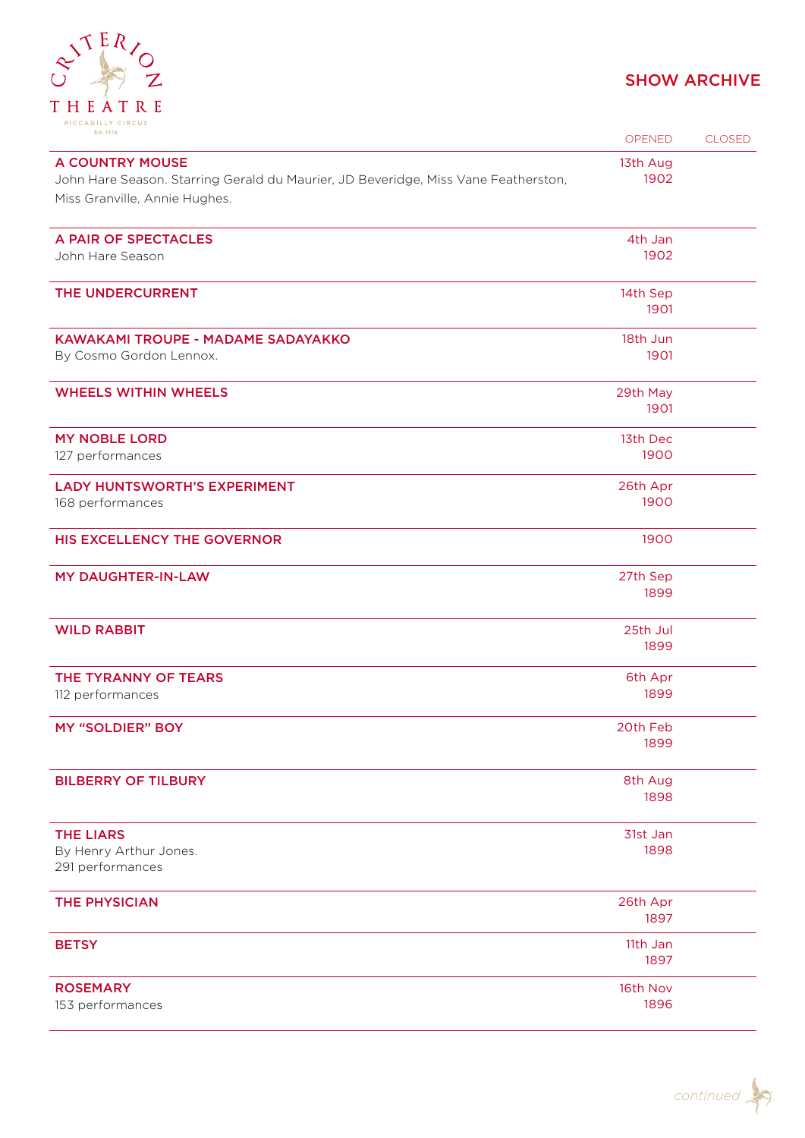

| Est. 1874                                                                                                    | OPENED           | <b>CLOSED</b> |
|--------------------------------------------------------------------------------------------------------------|------------------|---------------|
| <b>A COUNTRY MOUSE</b><br>John Hare Season. Starring Gerald du Maurier, JD Beveridge, Miss Vane Featherston, | 13th Aug<br>1902 |               |
| Miss Granville, Annie Hughes.                                                                                |                  |               |
| A PAIR OF SPECTACLES                                                                                         | 4th Jan          |               |
| John Hare Season                                                                                             | 1902             |               |
| THE UNDERCURRENT                                                                                             | 14th Sep<br>1901 |               |
| KAWAKAMI TROUPE - MADAME SADAYAKKO                                                                           | 18th Jun         |               |
| By Cosmo Gordon Lennox.                                                                                      | 1901             |               |
| <b>WHEELS WITHIN WHEELS</b>                                                                                  | 29th May<br>1901 |               |
|                                                                                                              |                  |               |
| <b>MY NOBLE LORD</b><br>127 performances                                                                     | 13th Dec<br>1900 |               |
|                                                                                                              |                  |               |
| <b>LADY HUNTSWORTH'S EXPERIMENT</b><br>168 performances                                                      | 26th Apr<br>1900 |               |
|                                                                                                              |                  |               |
| HIS EXCELLENCY THE GOVERNOR                                                                                  | 1900             |               |
| <b>MY DAUGHTER-IN-LAW</b>                                                                                    | 27th Sep         |               |
|                                                                                                              | 1899             |               |
| <b>WILD RABBIT</b>                                                                                           | 25th Jul         |               |
|                                                                                                              | 1899             |               |
| THE TYRANNY OF TEARS                                                                                         | 6th Apr          |               |
| 112 performances                                                                                             | 1899             |               |
| <b>MY "SOLDIER" BOY</b>                                                                                      | 20th Feb         |               |
|                                                                                                              | 1899             |               |
| <b>BILBERRY OF TILBURY</b>                                                                                   | 8th Aug          |               |
|                                                                                                              | 1898             |               |
| <b>THE LIARS</b>                                                                                             | 31st Jan         |               |
| By Henry Arthur Jones.                                                                                       | 1898             |               |
| 291 performances                                                                                             |                  |               |
| <b>THE PHYSICIAN</b>                                                                                         | 26th Apr         |               |
|                                                                                                              | 1897             |               |
| <b>BETSY</b>                                                                                                 | 11th Jan         |               |
|                                                                                                              | 1897             |               |
| <b>ROSEMARY</b>                                                                                              | 16th Nov         |               |
| 153 performances                                                                                             | 1896             |               |

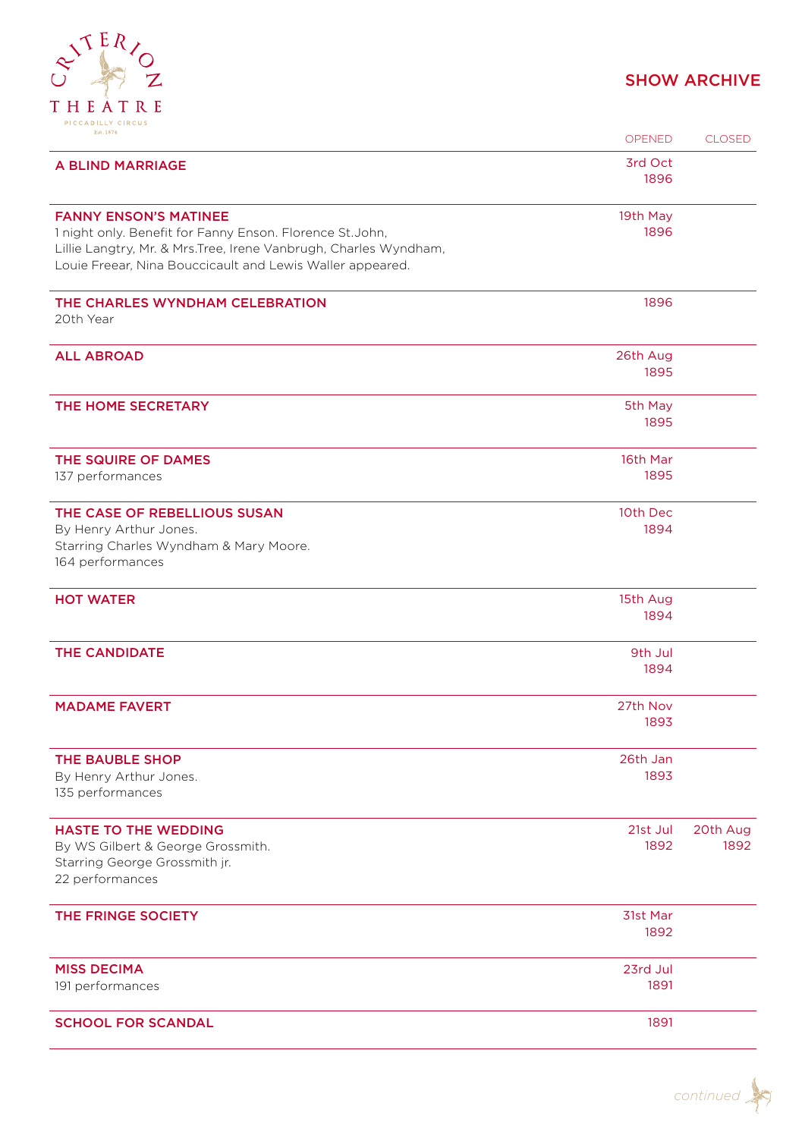

| Est. 1874                                                                                                                                                                                                                  | OPENED           | <b>CLOSED</b>    |
|----------------------------------------------------------------------------------------------------------------------------------------------------------------------------------------------------------------------------|------------------|------------------|
| A BLIND MARRIAGE                                                                                                                                                                                                           | 3rd Oct<br>1896  |                  |
| <b>FANNY ENSON'S MATINEE</b><br>1 night only. Benefit for Fanny Enson. Florence St.John,<br>Lillie Langtry, Mr. & Mrs. Tree, Irene Vanbrugh, Charles Wyndham,<br>Louie Freear, Nina Bouccicault and Lewis Waller appeared. | 19th May<br>1896 |                  |
| THE CHARLES WYNDHAM CELEBRATION<br>20th Year                                                                                                                                                                               | 1896             |                  |
| <b>ALL ABROAD</b>                                                                                                                                                                                                          | 26th Aug<br>1895 |                  |
| THE HOME SECRETARY                                                                                                                                                                                                         | 5th May<br>1895  |                  |
| THE SQUIRE OF DAMES<br>137 performances                                                                                                                                                                                    | 16th Mar<br>1895 |                  |
| THE CASE OF REBELLIOUS SUSAN<br>By Henry Arthur Jones.<br>Starring Charles Wyndham & Mary Moore.<br>164 performances                                                                                                       | 10th Dec<br>1894 |                  |
| <b>HOT WATER</b>                                                                                                                                                                                                           | 15th Aug<br>1894 |                  |
| <b>THE CANDIDATE</b>                                                                                                                                                                                                       | 9th Jul<br>1894  |                  |
| <b>MADAME FAVERT</b>                                                                                                                                                                                                       | 27th Nov<br>1893 |                  |
| THE BAUBLE SHOP<br>By Henry Arthur Jones.<br>135 performances                                                                                                                                                              | 26th Jan<br>1893 |                  |
| <b>HASTE TO THE WEDDING</b><br>By WS Gilbert & George Grossmith.<br>Starring George Grossmith jr.<br>22 performances                                                                                                       | 21st Jul<br>1892 | 20th Aug<br>1892 |
| THE FRINGE SOCIETY                                                                                                                                                                                                         | 31st Mar<br>1892 |                  |
| <b>MISS DECIMA</b><br>191 performances                                                                                                                                                                                     | 23rd Jul<br>1891 |                  |
| <b>SCHOOL FOR SCANDAL</b>                                                                                                                                                                                                  | 1891             |                  |

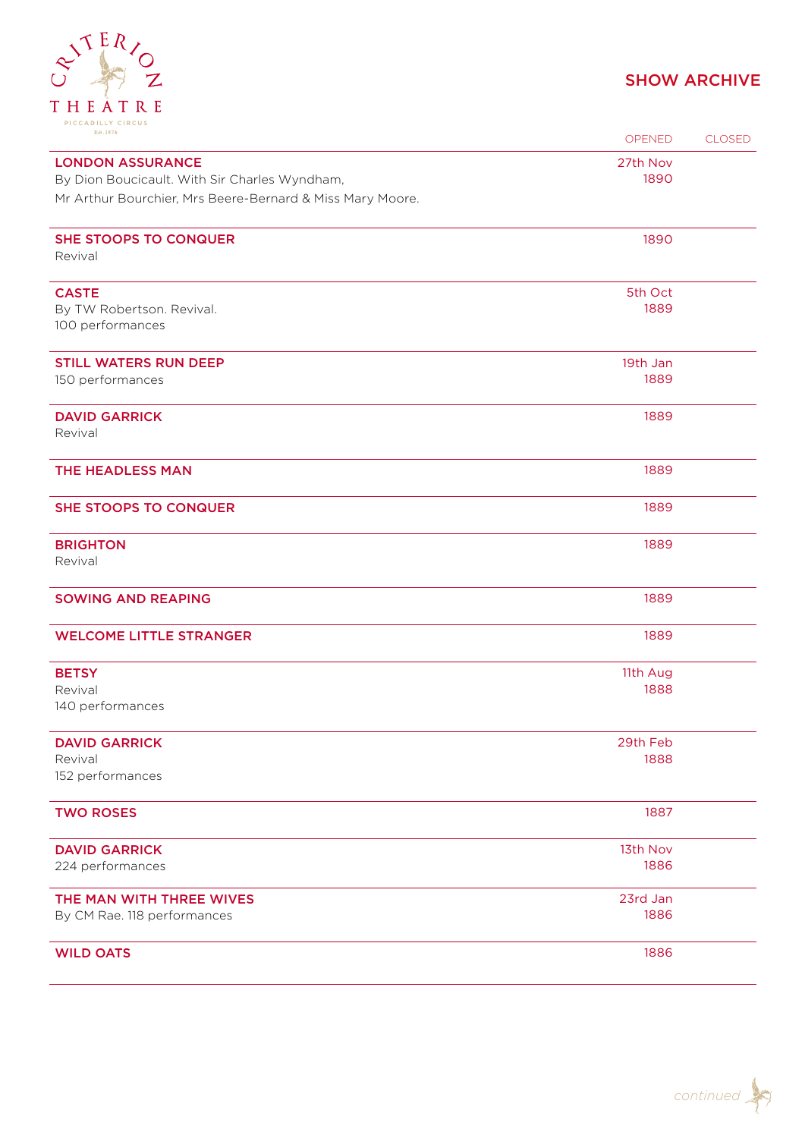

| PICCADILLI CIRCUS<br>Est. 1874                            | <b>OPENED</b> | <b>CLOSED</b> |
|-----------------------------------------------------------|---------------|---------------|
| <b>LONDON ASSURANCE</b>                                   | 27th Nov      |               |
| By Dion Boucicault. With Sir Charles Wyndham,             | 1890          |               |
| Mr Arthur Bourchier, Mrs Beere-Bernard & Miss Mary Moore. |               |               |
| <b>SHE STOOPS TO CONQUER</b><br>Revival                   | 1890          |               |
| <b>CASTE</b>                                              | 5th Oct       |               |
| By TW Robertson. Revival.<br>100 performances             | 1889          |               |
| <b>STILL WATERS RUN DEEP</b>                              | 19th Jan      |               |
| 150 performances                                          | 1889          |               |
| <b>DAVID GARRICK</b><br>Revival                           | 1889          |               |
| THE HEADLESS MAN                                          | 1889          |               |
| <b>SHE STOOPS TO CONQUER</b>                              | 1889          |               |
| <b>BRIGHTON</b>                                           | 1889          |               |
| Revival                                                   |               |               |
| <b>SOWING AND REAPING</b>                                 | 1889          |               |
| <b>WELCOME LITTLE STRANGER</b>                            | 1889          |               |
| <b>BETSY</b>                                              | 11th Aug      |               |
| Revival<br>140 performances                               | 1888          |               |
| <b>DAVID GARRICK</b>                                      | 29th Feb      |               |
| Revival                                                   | 1888          |               |
| 152 performances                                          |               |               |
| <b>TWO ROSES</b>                                          | 1887          |               |
| <b>DAVID GARRICK</b>                                      | 13th Nov      |               |
| 224 performances                                          | 1886          |               |
| THE MAN WITH THREE WIVES                                  | 23rd Jan      |               |
| By CM Rae. 118 performances                               | 1886          |               |
| <b>WILD OATS</b>                                          | 1886          |               |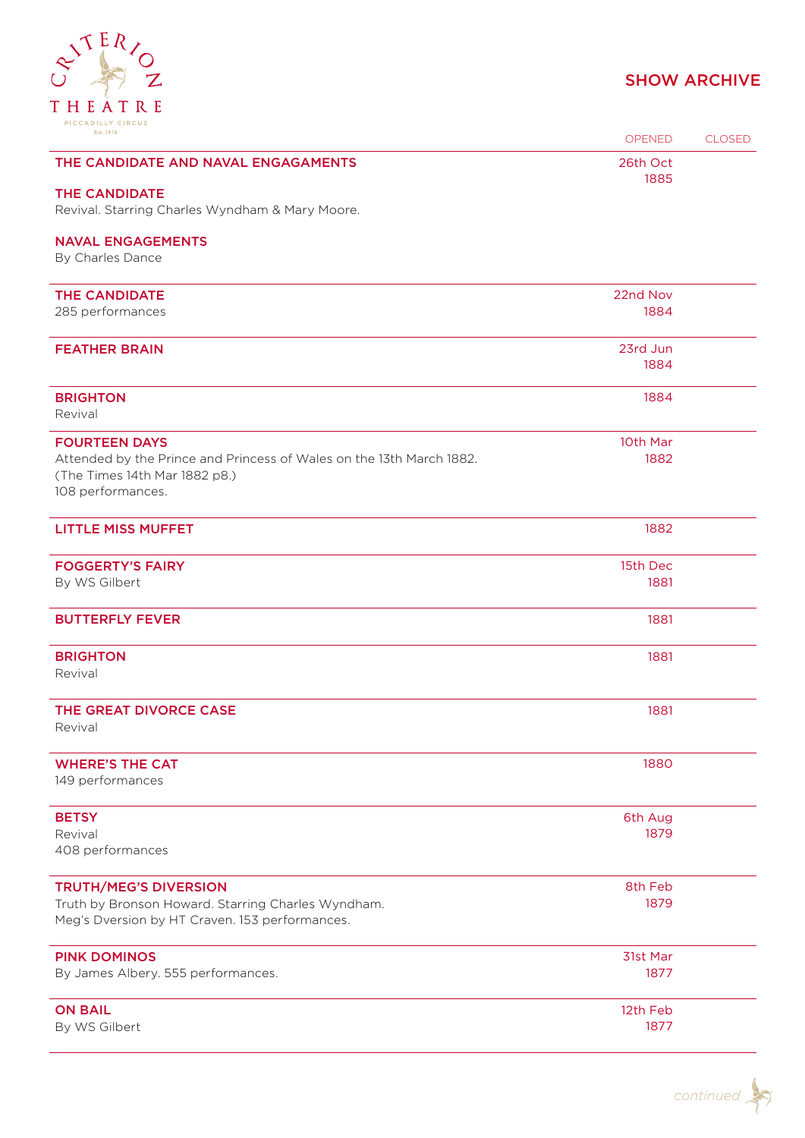

| FICCAPILLI CIRCOS<br>Est. 1874                                                                                             | OPENED           | <b>CLOSED</b> |
|----------------------------------------------------------------------------------------------------------------------------|------------------|---------------|
| THE CANDIDATE AND NAVAL ENGAGAMENTS                                                                                        | 26th Oct<br>1885 |               |
| <b>THE CANDIDATE</b><br>Revival. Starring Charles Wyndham & Mary Moore.                                                    |                  |               |
| <b>NAVAL ENGAGEMENTS</b>                                                                                                   |                  |               |
| By Charles Dance                                                                                                           |                  |               |
| <b>THE CANDIDATE</b>                                                                                                       | 22nd Nov         |               |
| 285 performances                                                                                                           | 1884             |               |
| <b>FEATHER BRAIN</b>                                                                                                       | 23rd Jun         |               |
|                                                                                                                            | 1884             |               |
| <b>BRIGHTON</b><br>Revival                                                                                                 | 1884             |               |
| <b>FOURTEEN DAYS</b>                                                                                                       | 10th Mar         |               |
| Attended by the Prince and Princess of Wales on the 13th March 1882.<br>(The Times 14th Mar 1882 p8.)<br>108 performances. | 1882             |               |
| <b>LITTLE MISS MUFFET</b>                                                                                                  | 1882             |               |
| <b>FOGGERTY'S FAIRY</b>                                                                                                    | 15th Dec         |               |
| By WS Gilbert                                                                                                              | 1881             |               |
| <b>BUTTERFLY FEVER</b>                                                                                                     | 1881             |               |
| <b>BRIGHTON</b><br>Revival                                                                                                 | 1881             |               |
| THE GREAT DIVORCE CASE<br>Revival                                                                                          | 1881             |               |
| <b>WHERE'S THE CAT</b><br>149 performances                                                                                 | 1880             |               |
| <b>BETSY</b>                                                                                                               | 6th Aug          |               |
| Revival<br>408 performances                                                                                                | 1879             |               |
| <b>TRUTH/MEG'S DIVERSION</b>                                                                                               | 8th Feb          |               |
| Truth by Bronson Howard. Starring Charles Wyndham.<br>Meg's Dversion by HT Craven. 153 performances.                       | 1879             |               |
| <b>PINK DOMINOS</b>                                                                                                        | 31st Mar         |               |
| By James Albery. 555 performances.                                                                                         | 1877             |               |
| <b>ON BAIL</b><br>By WS Gilbert                                                                                            | 12th Feb<br>1877 |               |
|                                                                                                                            |                  |               |